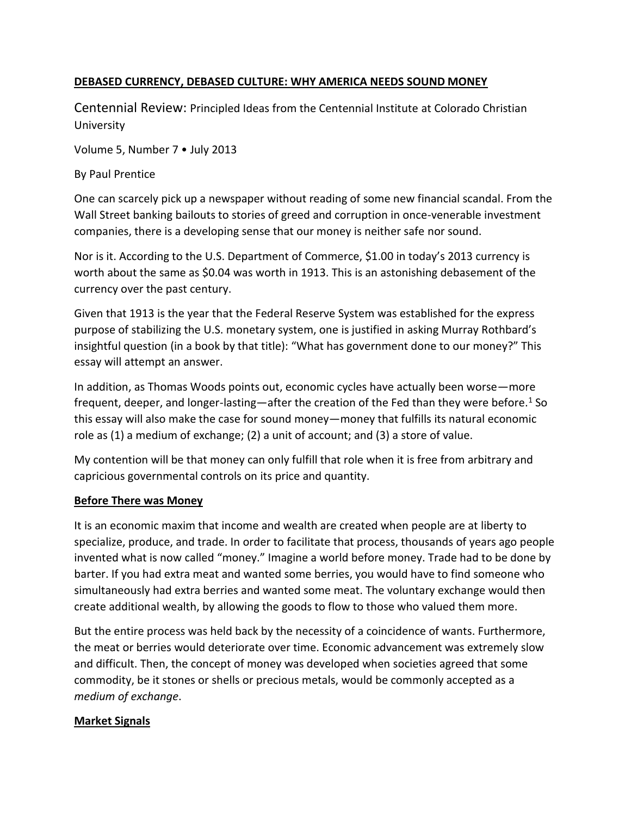### **DEBASED CURRENCY, DEBASED CULTURE: WHY AMERICA NEEDS SOUND MONEY**

Centennial Review: Principled Ideas from the Centennial Institute at Colorado Christian University

Volume 5, Number 7 • July 2013

By Paul Prentice

One can scarcely pick up a newspaper without reading of some new financial scandal. From the Wall Street banking bailouts to stories of greed and corruption in once-venerable investment companies, there is a developing sense that our money is neither safe nor sound.

Nor is it. According to the U.S. Department of Commerce, \$1.00 in today's 2013 currency is worth about the same as \$0.04 was worth in 1913. This is an astonishing debasement of the currency over the past century.

Given that 1913 is the year that the Federal Reserve System was established for the express purpose of stabilizing the U.S. monetary system, one is justified in asking Murray Rothbard's insightful question (in a book by that title): "What has government done to our money?" This essay will attempt an answer.

In addition, as Thomas Woods points out, economic cycles have actually been worse—more frequent, deeper, and longer-lasting—after the creation of the Fed than they were before.<sup>1</sup> So this essay will also make the case for sound money—money that fulfills its natural economic role as (1) a medium of exchange; (2) a unit of account; and (3) a store of value.

My contention will be that money can only fulfill that role when it is free from arbitrary and capricious governmental controls on its price and quantity.

### **Before There was Money**

It is an economic maxim that income and wealth are created when people are at liberty to specialize, produce, and trade. In order to facilitate that process, thousands of years ago people invented what is now called "money." Imagine a world before money. Trade had to be done by barter. If you had extra meat and wanted some berries, you would have to find someone who simultaneously had extra berries and wanted some meat. The voluntary exchange would then create additional wealth, by allowing the goods to flow to those who valued them more.

But the entire process was held back by the necessity of a coincidence of wants. Furthermore, the meat or berries would deteriorate over time. Economic advancement was extremely slow and difficult. Then, the concept of money was developed when societies agreed that some commodity, be it stones or shells or precious metals, would be commonly accepted as a *medium of exchange*.

### **Market Signals**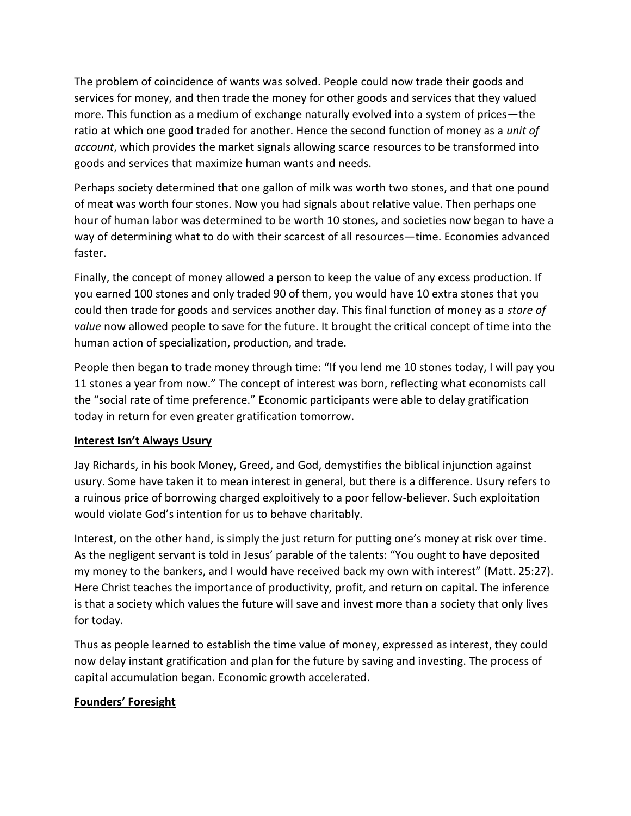The problem of coincidence of wants was solved. People could now trade their goods and services for money, and then trade the money for other goods and services that they valued more. This function as a medium of exchange naturally evolved into a system of prices—the ratio at which one good traded for another. Hence the second function of money as a *unit of account*, which provides the market signals allowing scarce resources to be transformed into goods and services that maximize human wants and needs.

Perhaps society determined that one gallon of milk was worth two stones, and that one pound of meat was worth four stones. Now you had signals about relative value. Then perhaps one hour of human labor was determined to be worth 10 stones, and societies now began to have a way of determining what to do with their scarcest of all resources—time. Economies advanced faster.

Finally, the concept of money allowed a person to keep the value of any excess production. If you earned 100 stones and only traded 90 of them, you would have 10 extra stones that you could then trade for goods and services another day. This final function of money as a *store of value* now allowed people to save for the future. It brought the critical concept of time into the human action of specialization, production, and trade.

People then began to trade money through time: "If you lend me 10 stones today, I will pay you 11 stones a year from now." The concept of interest was born, reflecting what economists call the "social rate of time preference." Economic participants were able to delay gratification today in return for even greater gratification tomorrow.

# **Interest Isn't Always Usury**

Jay Richards, in his book Money, Greed, and God, demystifies the biblical injunction against usury. Some have taken it to mean interest in general, but there is a difference. Usury refers to a ruinous price of borrowing charged exploitively to a poor fellow-believer. Such exploitation would violate God's intention for us to behave charitably.

Interest, on the other hand, is simply the just return for putting one's money at risk over time. As the negligent servant is told in Jesus' parable of the talents: "You ought to have deposited my money to the bankers, and I would have received back my own with interest" (Matt. 25:27). Here Christ teaches the importance of productivity, profit, and return on capital. The inference is that a society which values the future will save and invest more than a society that only lives for today.

Thus as people learned to establish the time value of money, expressed as interest, they could now delay instant gratification and plan for the future by saving and investing. The process of capital accumulation began. Economic growth accelerated.

# **Founders' Foresight**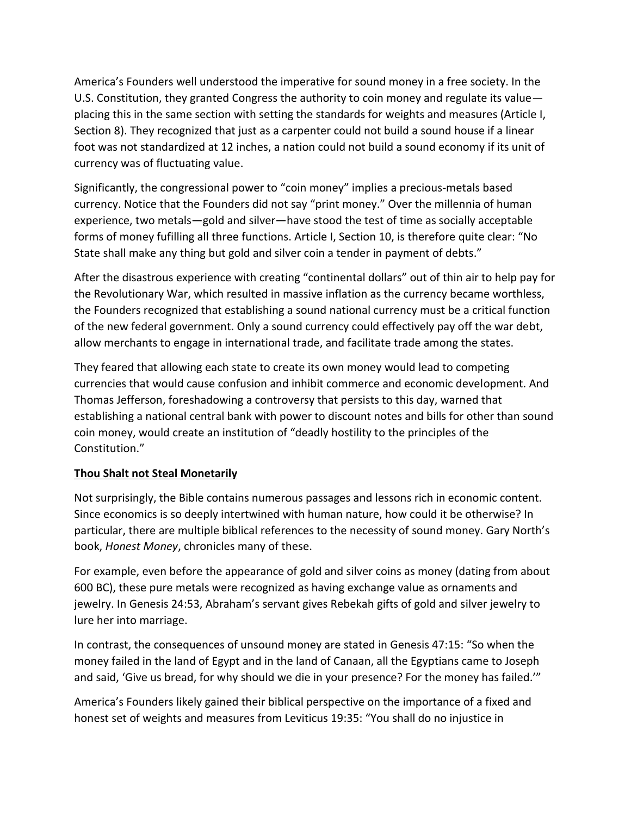America's Founders well understood the imperative for sound money in a free society. In the U.S. Constitution, they granted Congress the authority to coin money and regulate its value placing this in the same section with setting the standards for weights and measures (Article I, Section 8). They recognized that just as a carpenter could not build a sound house if a linear foot was not standardized at 12 inches, a nation could not build a sound economy if its unit of currency was of fluctuating value.

Significantly, the congressional power to "coin money" implies a precious-metals based currency. Notice that the Founders did not say "print money." Over the millennia of human experience, two metals—gold and silver—have stood the test of time as socially acceptable forms of money fufilling all three functions. Article I, Section 10, is therefore quite clear: "No State shall make any thing but gold and silver coin a tender in payment of debts."

After the disastrous experience with creating "continental dollars" out of thin air to help pay for the Revolutionary War, which resulted in massive inflation as the currency became worthless, the Founders recognized that establishing a sound national currency must be a critical function of the new federal government. Only a sound currency could effectively pay off the war debt, allow merchants to engage in international trade, and facilitate trade among the states.

They feared that allowing each state to create its own money would lead to competing currencies that would cause confusion and inhibit commerce and economic development. And Thomas Jefferson, foreshadowing a controversy that persists to this day, warned that establishing a national central bank with power to discount notes and bills for other than sound coin money, would create an institution of "deadly hostility to the principles of the Constitution."

### **Thou Shalt not Steal Monetarily**

Not surprisingly, the Bible contains numerous passages and lessons rich in economic content. Since economics is so deeply intertwined with human nature, how could it be otherwise? In particular, there are multiple biblical references to the necessity of sound money. Gary North's book, *Honest Money*, chronicles many of these.

For example, even before the appearance of gold and silver coins as money (dating from about 600 BC), these pure metals were recognized as having exchange value as ornaments and jewelry. In Genesis 24:53, Abraham's servant gives Rebekah gifts of gold and silver jewelry to lure her into marriage.

In contrast, the consequences of unsound money are stated in Genesis 47:15: "So when the money failed in the land of Egypt and in the land of Canaan, all the Egyptians came to Joseph and said, 'Give us bread, for why should we die in your presence? For the money has failed.'"

America's Founders likely gained their biblical perspective on the importance of a fixed and honest set of weights and measures from Leviticus 19:35: "You shall do no injustice in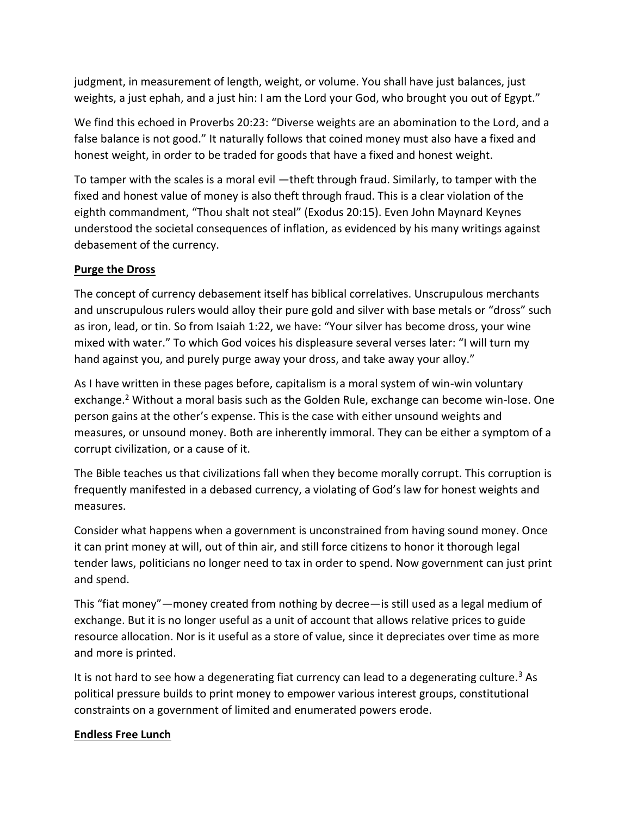judgment, in measurement of length, weight, or volume. You shall have just balances, just weights, a just ephah, and a just hin: I am the Lord your God, who brought you out of Egypt."

We find this echoed in Proverbs 20:23: "Diverse weights are an abomination to the Lord, and a false balance is not good." It naturally follows that coined money must also have a fixed and honest weight, in order to be traded for goods that have a fixed and honest weight.

To tamper with the scales is a moral evil —theft through fraud. Similarly, to tamper with the fixed and honest value of money is also theft through fraud. This is a clear violation of the eighth commandment, "Thou shalt not steal" (Exodus 20:15). Even John Maynard Keynes understood the societal consequences of inflation, as evidenced by his many writings against debasement of the currency.

## **Purge the Dross**

The concept of currency debasement itself has biblical correlatives. Unscrupulous merchants and unscrupulous rulers would alloy their pure gold and silver with base metals or "dross" such as iron, lead, or tin. So from Isaiah 1:22, we have: "Your silver has become dross, your wine mixed with water." To which God voices his displeasure several verses later: "I will turn my hand against you, and purely purge away your dross, and take away your alloy."

As I have written in these pages before, capitalism is a moral system of win-win voluntary exchange.<sup>2</sup> Without a moral basis such as the Golden Rule, exchange can become win-lose. One person gains at the other's expense. This is the case with either unsound weights and measures, or unsound money. Both are inherently immoral. They can be either a symptom of a corrupt civilization, or a cause of it.

The Bible teaches us that civilizations fall when they become morally corrupt. This corruption is frequently manifested in a debased currency, a violating of God's law for honest weights and measures.

Consider what happens when a government is unconstrained from having sound money. Once it can print money at will, out of thin air, and still force citizens to honor it thorough legal tender laws, politicians no longer need to tax in order to spend. Now government can just print and spend.

This "fiat money"—money created from nothing by decree—is still used as a legal medium of exchange. But it is no longer useful as a unit of account that allows relative prices to guide resource allocation. Nor is it useful as a store of value, since it depreciates over time as more and more is printed.

It is not hard to see how a degenerating fiat currency can lead to a degenerating culture.<sup>3</sup> As political pressure builds to print money to empower various interest groups, constitutional constraints on a government of limited and enumerated powers erode.

### **Endless Free Lunch**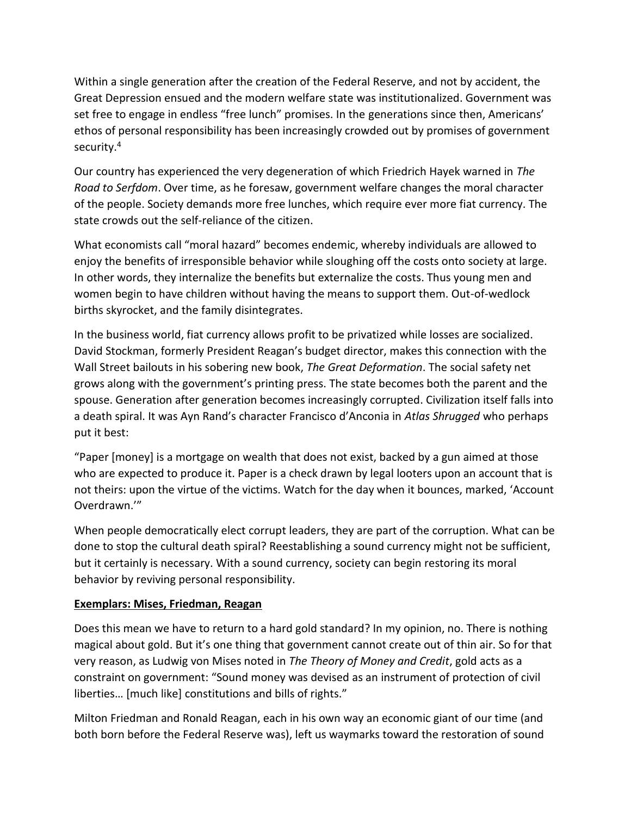Within a single generation after the creation of the Federal Reserve, and not by accident, the Great Depression ensued and the modern welfare state was institutionalized. Government was set free to engage in endless "free lunch" promises. In the generations since then, Americans' ethos of personal responsibility has been increasingly crowded out by promises of government security.<sup>4</sup>

Our country has experienced the very degeneration of which Friedrich Hayek warned in *The Road to Serfdom*. Over time, as he foresaw, government welfare changes the moral character of the people. Society demands more free lunches, which require ever more fiat currency. The state crowds out the self-reliance of the citizen.

What economists call "moral hazard" becomes endemic, whereby individuals are allowed to enjoy the benefits of irresponsible behavior while sloughing off the costs onto society at large. In other words, they internalize the benefits but externalize the costs. Thus young men and women begin to have children without having the means to support them. Out-of-wedlock births skyrocket, and the family disintegrates.

In the business world, fiat currency allows profit to be privatized while losses are socialized. David Stockman, formerly President Reagan's budget director, makes this connection with the Wall Street bailouts in his sobering new book, *The Great Deformation*. The social safety net grows along with the government's printing press. The state becomes both the parent and the spouse. Generation after generation becomes increasingly corrupted. Civilization itself falls into a death spiral. It was Ayn Rand's character Francisco d'Anconia in *Atlas Shrugged* who perhaps put it best:

"Paper [money] is a mortgage on wealth that does not exist, backed by a gun aimed at those who are expected to produce it. Paper is a check drawn by legal looters upon an account that is not theirs: upon the virtue of the victims. Watch for the day when it bounces, marked, 'Account Overdrawn.'"

When people democratically elect corrupt leaders, they are part of the corruption. What can be done to stop the cultural death spiral? Reestablishing a sound currency might not be sufficient, but it certainly is necessary. With a sound currency, society can begin restoring its moral behavior by reviving personal responsibility.

### **Exemplars: Mises, Friedman, Reagan**

Does this mean we have to return to a hard gold standard? In my opinion, no. There is nothing magical about gold. But it's one thing that government cannot create out of thin air. So for that very reason, as Ludwig von Mises noted in *The Theory of Money and Credit*, gold acts as a constraint on government: "Sound money was devised as an instrument of protection of civil liberties… [much like] constitutions and bills of rights."

Milton Friedman and Ronald Reagan, each in his own way an economic giant of our time (and both born before the Federal Reserve was), left us waymarks toward the restoration of sound